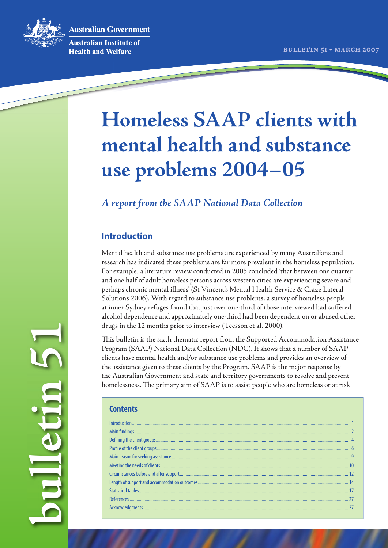**Australian Government** 



**Australian Institute of Health and Welfare** 

# **Homeless SAAP clients with mental health and substance use problems 2004–05**

## *A report from the SAAP National Data Collection*

## **Introduction**

Mental health and substance use problems are experienced by many Australians and research has indicated these problems are far more prevalent in the homeless population. For example, a literature review conducted in 2005 concluded 'that between one quarter and one half of adult homeless persons across western cities are experiencing severe and perhaps chronic mental illness' (St Vincent's Mental Health Service & Craze Lateral Solutions 2006). With regard to substance use problems, a survey of homeless people at inner Sydney refuges found that just over one-third of those interviewed had suffered alcohol dependence and approximately one-third had been dependent on or abused other drugs in the 12 months prior to interview (Teesson et al. 2000).

This bulletin is the sixth thematic report from the Supported Accommodation Assistance Program (SAAP) National Data Collection (NDC). It shows that a number of SAAP clients have mental health and/or substance use problems and provides an overview of the assistance given to these clients by the Program. SAAP is the major response by the Australian Government and state and territory governments to resolve and prevent homelessness. The primary aim of SAAP is to assist people who are homeless or at risk

#### **Contents**

**bulletin 51**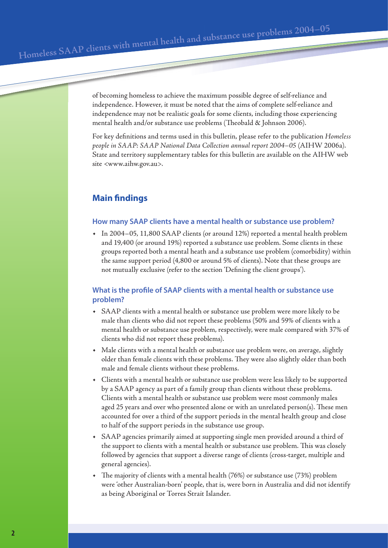of becoming homeless to achieve the maximum possible degree of self-reliance and independence. However, it must be noted that the aims of complete self-reliance and independence may not be realistic goals for some clients, including those experiencing mental health and/or substance use problems (Theobald & Johnson 2006).

For key definitions and terms used in this bulletin, please refer to the publication *Homeless people in SAAP: SAAP National Data Collection annual report 2004–05* (AIHW 2006a). State and territory supplementary tables for this bulletin are available on the AIHW web site <www.aihw.gov.au>.

## **Main findings**

#### **How many SAAP clients have a mental health or substance use problem?**

• In 2004–05, 11,800 SAAP clients (or around 12%) reported a mental health problem and 19,400 (or around 19%) reported a substance use problem. Some clients in these groups reported both a mental heath and a substance use problem (comorbidity) within the same support period (4,800 or around 5% of clients). Note that these groups are not mutually exclusive (refer to the section 'Defining the client groups').

## **What is the profile of SAAP clients with a mental health or substance use problem?**

- SAAP clients with a mental health or substance use problem were more likely to be male than clients who did not report these problems (50% and 59% of clients with a mental health or substance use problem, respectively, were male compared with 37% of clients who did not report these problems).
- Male clients with a mental health or substance use problem were, on average, slightly older than female clients with these problems. They were also slightly older than both male and female clients without these problems.
- Clients with a mental health or substance use problem were less likely to be supported by a SAAP agency as part of a family group than clients without these problems. Clients with a mental health or substance use problem were most commonly males aged 25 years and over who presented alone or with an unrelated person(s). These men accounted for over a third of the support periods in the mental health group and close to half of the support periods in the substance use group.
- SAAP agencies primarily aimed at supporting single men provided around a third of the support to clients with a mental health or substance use problem. This was closely followed by agencies that support a diverse range of clients (cross-target, multiple and general agencies).
- The majority of clients with a mental health  $(76%)$  or substance use  $(73%)$  problem were 'other Australian-born' people, that is, were born in Australia and did not identify as being Aboriginal or Torres Strait Islander.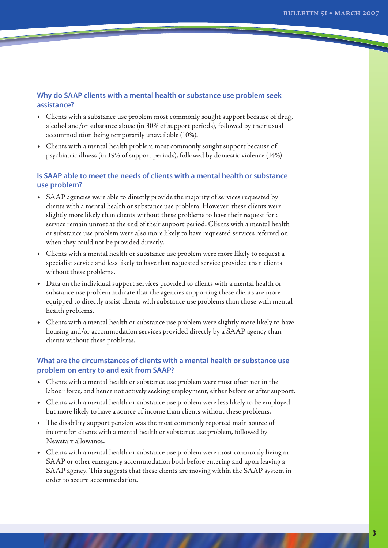## **Why do SAAP clients with a mental health or substance use problem seek assistance?**

- Clients with a substance use problem most commonly sought support because of drug, alcohol and/or substance abuse (in 30% of support periods), followed by their usual accommodation being temporarily unavailable (10%).
- Clients with a mental health problem most commonly sought support because of psychiatric illness (in 19% of support periods), followed by domestic violence (14%).

## **Is SAAP able to meet the needs of clients with a mental health or substance use problem?**

- SAAP agencies were able to directly provide the majority of services requested by clients with a mental health or substance use problem. However, these clients were slightly more likely than clients without these problems to have their request for a service remain unmet at the end of their support period. Clients with a mental health or substance use problem were also more likely to have requested services referred on when they could not be provided directly.
- Clients with a mental health or substance use problem were more likely to request a specialist service and less likely to have that requested service provided than clients without these problems.
- Data on the individual support services provided to clients with a mental health or substance use problem indicate that the agencies supporting these clients are more equipped to directly assist clients with substance use problems than those with mental health problems.
- Clients with a mental health or substance use problem were slightly more likely to have housing and/or accommodation services provided directly by a SAAP agency than clients without these problems.

## **What are the circumstances of clients with a mental health or substance use problem on entry to and exit from SAAP?**

- Clients with a mental health or substance use problem were most often not in the labour force, and hence not actively seeking employment, either before or after support.
- Clients with a mental health or substance use problem were less likely to be employed but more likely to have a source of income than clients without these problems.
- The disability support pension was the most commonly reported main source of income for clients with a mental health or substance use problem, followed by Newstart allowance.
- Clients with a mental health or substance use problem were most commonly living in SAAP or other emergency accommodation both before entering and upon leaving a SAAP agency. This suggests that these clients are moving within the SAAP system in order to secure accommodation.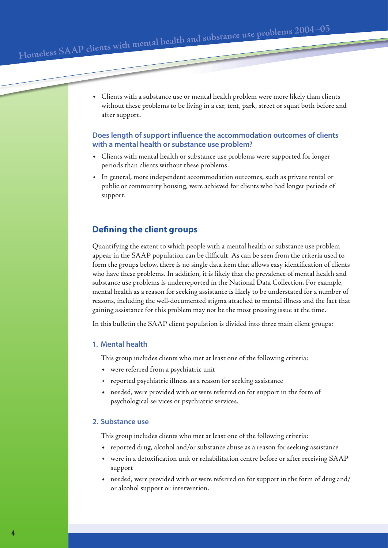• Clients with a substance use or mental health problem were more likely than clients without these problems to be living in a car, tent, park, street or squat both before and after support.

## **Does length of support influence the accommodation outcomes of clients with a mental health or substance use problem?**

- Clients with mental health or substance use problems were supported for longer periods than clients without these problems.
- In general, more independent accommodation outcomes, such as private rental or public or community housing, were achieved for clients who had longer periods of support.

## **De ning the client groups**

Quantifying the extent to which people with a mental health or substance use problem appear in the SAAP population can be difficult. As can be seen from the criteria used to form the groups below, there is no single data item that allows easy identification of clients who have these problems. In addition, it is likely that the prevalence of mental health and substance use problems is underreported in the National Data Collection. For example, mental health as a reason for seeking assistance is likely to be understated for a number of reasons, including the well-documented stigma attached to mental illness and the fact that gaining assistance for this problem may not be the most pressing issue at the time.

In this bulletin the SAAP client population is divided into three main client groups:

#### **1. Mental health**

This group includes clients who met at least one of the following criteria:

- were referred from a psychiatric unit
- reported psychiatric illness as a reason for seeking assistance
- needed, were provided with or were referred on for support in the form of psychological services or psychiatric services.

#### **2. Substance use**

This group includes clients who met at least one of the following criteria:

- reported drug, alcohol and/or substance abuse as a reason for seeking assistance
- were in a detoxification unit or rehabilitation centre before or after receiving SAAP support
- needed, were provided with or were referred on for support in the form of drug and/ or alcohol support or intervention.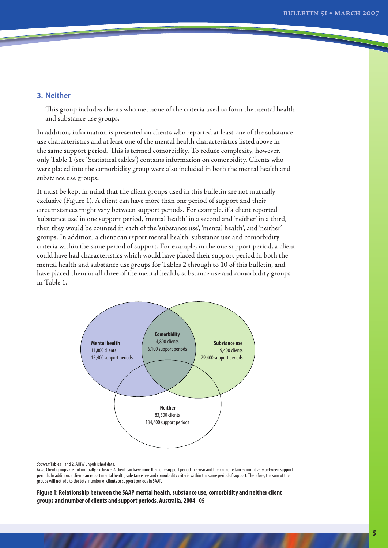#### **3. Neither**

This group includes clients who met none of the criteria used to form the mental health and substance use groups.

In addition, information is presented on clients who reported at least one of the substance use characteristics and at least one of the mental health characteristics listed above in the same support period. This is termed comorbidity. To reduce complexity, however, only Table 1 (see 'Statistical tables') contains information on comorbidity. Clients who were placed into the comorbidity group were also included in both the mental health and substance use groups.

It must be kept in mind that the client groups used in this bulletin are not mutually exclusive (Figure 1). A client can have more than one period of support and their circumstances might vary between support periods. For example, if a client reported 'substance use' in one support period, 'mental health' in a second and 'neither' in a third, then they would be counted in each of the 'substance use', 'mental health', and 'neither' groups. In addition, a client can report mental health, substance use and comorbidity criteria within the same period of support. For example, in the one support period, a client could have had characteristics which would have placed their support period in both the mental health and substance use groups for Tables 2 through to 10 of this bulletin, and have placed them in all three of the mental health, substance use and comorbidity groups in Table 1.



*Sources:* Tables 1 and 2, AIHW unpublished data.

*Note:* Client groups are not mutually exclusive. A client can have more than one support period in a year and their circumstances might vary between support periods. In addition, a client can report mental health, substance use and comorbidity criteria within the same period of support. Therefore, the sum of the groups will not add to the total number of clients or support periods in SAAP.

**Figure 1: Relationship between the SAAP mental health, substance use, comorbidity and neither client groups and number of clients and support periods, Australia, 2004–05**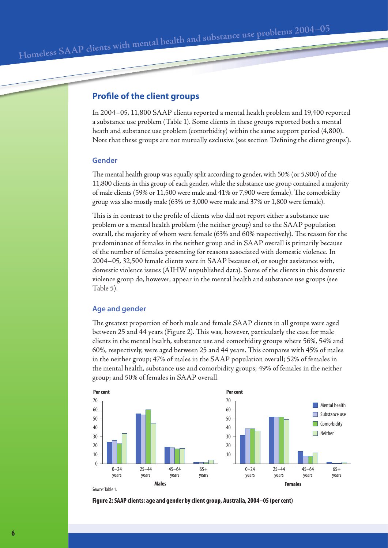## **Profile of the client groups**

In 2004–05, 11,800 SAAP clients reported a mental health problem and 19,400 reported a substance use problem (Table 1). Some clients in these groups reported both a mental heath and substance use problem (comorbidity) within the same support period (4,800). Note that these groups are not mutually exclusive (see section 'Defining the client groups').

#### **Gender**

The mental health group was equally split according to gender, with 50% (or 5,900) of the 11,800 clients in this group of each gender, while the substance use group contained a majority of male clients (59% or 11,500 were male and 41% or 7,900 were female). The comorbidity group was also mostly male (63% or 3,000 were male and 37% or 1,800 were female).

This is in contrast to the profile of clients who did not report either a substance use problem or a mental health problem (the neither group) and to the SAAP population overall, the majority of whom were female (63% and 60% respectively). The reason for the predominance of females in the neither group and in SAAP overall is primarily because of the number of females presenting for reasons associated with domestic violence. In 2004–05, 32,500 female clients were in SAAP because of, or sought assistance with, domestic violence issues (AIHW unpublished data). Some of the clients in this domestic violence group do, however, appear in the mental health and substance use groups (see Table 5).

### **Age and gender**

The greatest proportion of both male and female SAAP clients in all groups were aged between 25 and 44 years (Figure 2). This was, however, particularly the case for male clients in the mental health, substance use and comorbidity groups where 56%, 54% and 60%, respectively, were aged between 25 and 44 years. This compares with 45% of males in the neither group; 47% of males in the SAAP population overall; 52% of females in the mental health, substance use and comorbidity groups; 49% of females in the neither group; and 50% of females in SAAP overall.



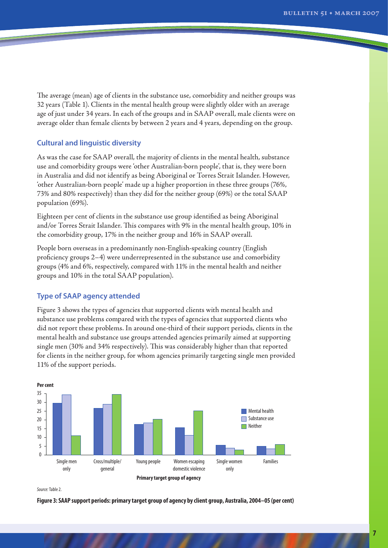The average (mean) age of clients in the substance use, comorbidity and neither groups was 32 years (Table 1). Clients in the mental health group were slightly older with an average age of just under 34 years. In each of the groups and in SAAP overall, male clients were on average older than female clients by between 2 years and 4 years, depending on the group.

#### **Cultural and linguistic diversity**

As was the case for SAAP overall, the majority of clients in the mental health, substance use and comorbidity groups were 'other Australian-born people', that is, they were born in Australia and did not identify as being Aboriginal or Torres Strait Islander. However, 'other Australian-born people' made up a higher proportion in these three groups (76%, 73% and 80% respectively) than they did for the neither group (69%) or the total SAAP population (69%).

Eighteen per cent of clients in the substance use group identified as being Aboriginal and/or Torres Strait Islander. This compares with 9% in the mental health group, 10% in the comorbidity group, 17% in the neither group and 16% in SAAP overall.

People born overseas in a predominantly non-English-speaking country (English proficiency groups  $2-4$ ) were underrepresented in the substance use and comorbidity groups (4% and 6%, respectively, compared with 11% in the mental health and neither groups and 10% in the total SAAP population).

#### **Type of SAAP agency attended**

Figure 3 shows the types of agencies that supported clients with mental health and substance use problems compared with the types of agencies that supported clients who did not report these problems. In around one-third of their support periods, clients in the mental health and substance use groups attended agencies primarily aimed at supporting single men  $(30\%$  and  $34\%$  respectively). This was considerably higher than that reported for clients in the neither group, for whom agencies primarily targeting single men provided 11% of the support periods.



*Source:* Table 2.

**Figure 3: SAAP support periods: primary target group of agency by client group, Australia, 2004–05 (per cent)**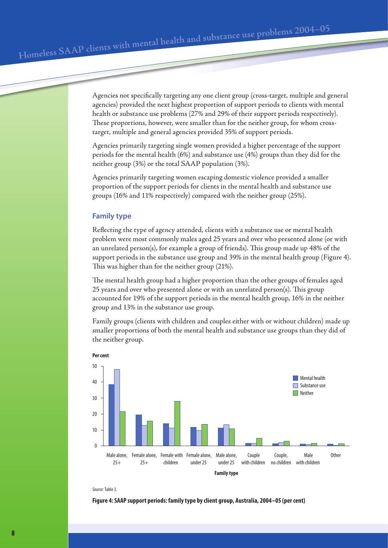Agencies not specifically targeting any one client group (cross-target, multiple and general agencies) provided the next highest proportion of support periods to clients with mental health or substance use problems (27% and 29% of their support periods respectively). These proportions, however, were smaller than for the neither group, for whom crosstarget, multiple and general agencies provided 35% of support periods.

Agencies primarily targeting single women provided a higher percentage of the support periods for the mental health (6%) and substance use (4%) groups than they did for the neither group (3%) or the total SAAP population (3%).

Agencies primarily targeting women escaping domestic violence provided a smaller proportion of the support periods for clients in the mental health and substance use groups (16% and 11% respectively) compared with the neither group (25%).

#### **Family type**

Reflecting the type of agency attended, clients with a substance use or mental health problem were most commonly males aged 25 years and over who presented alone (or with an unrelated person(s), for example a group of friends). This group made up  $48\%$  of the support periods in the substance use group and 39% in the mental health group (Figure 4). This was higher than for the neither group (21%).

The mental health group had a higher proportion than the other groups of females aged  $25$  years and over who presented alone or with an unrelated person(s). This group accounted for 19% of the support periods in the mental health group, 16% in the neither group and 13% in the substance use group.

Family groups (clients with children and couples either with or without children) made up smaller proportions of both the mental health and substance use groups than they did of the neither group.



*Source:* Table 3.

**Figure 4: SAAP support periods: family type by client group, Australia, 2004–05 (per cent)**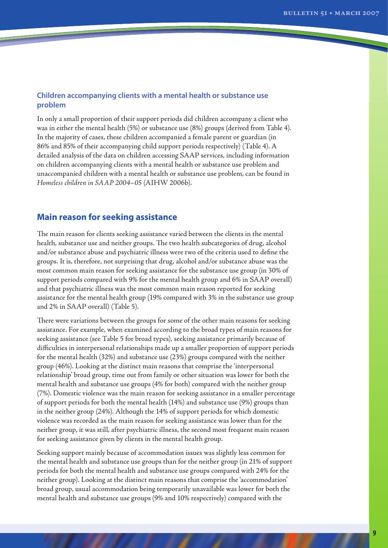#### **Children accompanying clients with a mental health or substance use problem**

In only a small proportion of their support periods did children accompany a client who was in either the mental health (5%) or substance use (8%) groups (derived from Table 4). In the majority of cases, these children accompanied a female parent or guardian (in 86% and 85% of their accompanying child support periods respectively) (Table 4). A detailed analysis of the data on children accessing SAAP services, including information on children accompanying clients with a mental health or substance use problem and unaccompanied children with a mental health or substance use problem, can be found in *Homeless children in SAAP 2004–05* (AIHW 2006b).

## **Main reason for seeking assistance**

The main reason for clients seeking assistance varied between the clients in the mental health, substance use and neither groups. The two health subcategories of drug, alcohol and/or substance abuse and psychiatric illness were two of the criteria used to define the groups. It is, therefore, not surprising that drug, alcohol and/or substance abuse was the most common main reason for seeking assistance for the substance use group (in 30% of support periods compared with 9% for the mental health group and 6% in SAAP overall) and that psychiatric illness was the most common main reason reported for seeking assistance for the mental health group (19% compared with 3% in the substance use group and 2% in SAAP overall) (Table 5).

There were variations between the groups for some of the other main reasons for seeking assistance. For example, when examined according to the broad types of main reasons for seeking assistance (see Table 5 for broad types), seeking assistance primarily because of difficulties in interpersonal relationships made up a smaller proportion of support periods for the mental health (32%) and substance use (23%) groups compared with the neither group (46%). Looking at the distinct main reasons that comprise the 'interpersonal relationship' broad group, time out from family or other situation was lower for both the mental health and substance use groups (4% for both) compared with the neither group (7%). Domestic violence was the main reason for seeking assistance in a smaller percentage of support periods for both the mental health (14%) and substance use (9%) groups than in the neither group (24%). Although the 14% of support periods for which domestic violence was recorded as the main reason for seeking assistance was lower than for the neither group, it was still, after psychiatric illness, the second most frequent main reason for seeking assistance given by clients in the mental health group.

Seeking support mainly because of accommodation issues was slightly less common for the mental health and substance use groups than for the neither group (in 21% of support periods for both the mental health and substance use groups compared with 24% for the neither group). Looking at the distinct main reasons that comprise the 'accommodation' broad group, usual accommodation being temporarily unavailable was lower for both the mental health and substance use groups (9% and 10% respectively) compared with the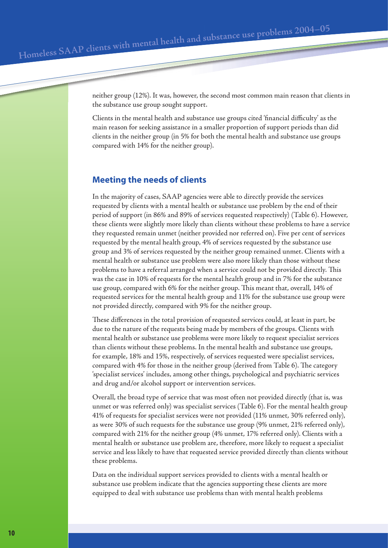neither group (12%). It was, however, the second most common main reason that clients in the substance use group sought support.

Clients in the mental health and substance use groups cited 'financial difficulty' as the main reason for seeking assistance in a smaller proportion of support periods than did clients in the neither group (in 5% for both the mental health and substance use groups compared with 14% for the neither group).

## **Meeting the needs of clients**

In the majority of cases, SAAP agencies were able to directly provide the services requested by clients with a mental health or substance use problem by the end of their period of support (in 86% and 89% of services requested respectively) (Table 6). However, these clients were slightly more likely than clients without these problems to have a service they requested remain unmet (neither provided nor referred on). Five per cent of services requested by the mental health group, 4% of services requested by the substance use group and 3% of services requested by the neither group remained unmet. Clients with a mental health or substance use problem were also more likely than those without these problems to have a referral arranged when a service could not be provided directly. This was the case in 10% of requests for the mental health group and in 7% for the substance use group, compared with 6% for the neither group. This meant that, overall, 14% of requested services for the mental health group and 11% for the substance use group were not provided directly, compared with 9% for the neither group.

These differences in the total provision of requested services could, at least in part, be due to the nature of the requests being made by members of the groups. Clients with mental health or substance use problems were more likely to request specialist services than clients without these problems. In the mental health and substance use groups, for example, 18% and 15%, respectively, of services requested were specialist services, compared with 4% for those in the neither group (derived from Table 6). The category 'specialist services' includes, among other things, psychological and psychiatric services and drug and/or alcohol support or intervention services.

Overall, the broad type of service that was most often not provided directly (that is, was unmet or was referred only) was specialist services (Table 6). For the mental health group 41% of requests for specialist services were not provided (11% unmet, 30% referred only), as were 30% of such requests for the substance use group (9% unmet, 21% referred only), compared with 21% for the neither group (4% unmet, 17% referred only). Clients with a mental health or substance use problem are, therefore, more likely to request a specialist service and less likely to have that requested service provided directly than clients without these problems.

Data on the individual support services provided to clients with a mental health or substance use problem indicate that the agencies supporting these clients are more equipped to deal with substance use problems than with mental health problems